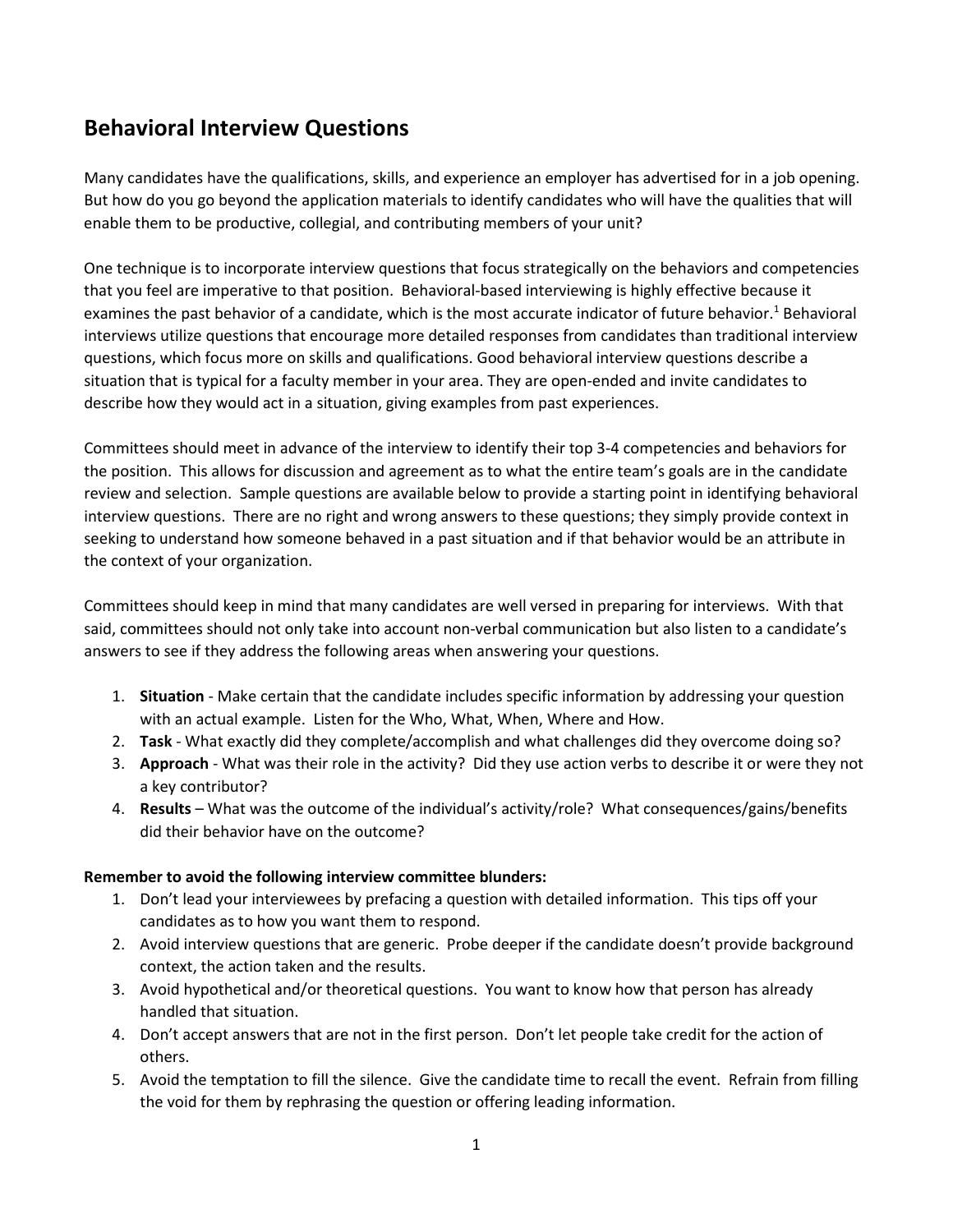# **Behavioral Interview Questions**

Many candidates have the qualifications, skills, and experience an employer has advertised for in a job opening. But how do you go beyond the application materials to identify candidates who will have the qualities that will enable them to be productive, collegial, and contributing members of your unit?

One technique is to incorporate interview questions that focus strategically on the behaviors and competencies that you feel are imperative to that position. Behavioral-based interviewing is highly effective because it examines the past behavior of a candidate, which is the most accurate indicator of future behavior.<sup>1</sup> Behavioral interviews utilize questions that encourage more detailed responses from candidates than traditional interview questions, which focus more on skills and qualifications. Good behavioral interview questions describe a situation that is typical for a faculty member in your area. They are open-ended and invite candidates to describe how they would act in a situation, giving examples from past experiences.

Committees should meet in advance of the interview to identify their top 3-4 competencies and behaviors for the position. This allows for discussion and agreement as to what the entire team's goals are in the candidate review and selection. Sample questions are available below to provide a starting point in identifying behavioral interview questions. There are no right and wrong answers to these questions; they simply provide context in seeking to understand how someone behaved in a past situation and if that behavior would be an attribute in the context of your organization.

Committees should keep in mind that many candidates are well versed in preparing for interviews. With that said, committees should not only take into account non-verbal communication but also listen to a candidate's answers to see if they address the following areas when answering your questions.

- 1. **Situation** Make certain that the candidate includes specific information by addressing your question with an actual example. Listen for the Who, What, When, Where and How.
- 2. **Task**  What exactly did they complete/accomplish and what challenges did they overcome doing so?
- 3. **Approach** What was their role in the activity? Did they use action verbs to describe it or were they not a key contributor?
- 4. **Results** What was the outcome of the individual's activity/role? What consequences/gains/benefits did their behavior have on the outcome?

#### **Remember to avoid the following interview committee blunders:**

- 1. Don't lead your interviewees by prefacing a question with detailed information. This tips off your candidates as to how you want them to respond.
- 2. Avoid interview questions that are generic. Probe deeper if the candidate doesn't provide background context, the action taken and the results.
- 3. Avoid hypothetical and/or theoretical questions. You want to know how that person has already handled that situation.
- 4. Don't accept answers that are not in the first person. Don't let people take credit for the action of others.
- 5. Avoid the temptation to fill the silence. Give the candidate time to recall the event. Refrain from filling the void for them by rephrasing the question or offering leading information.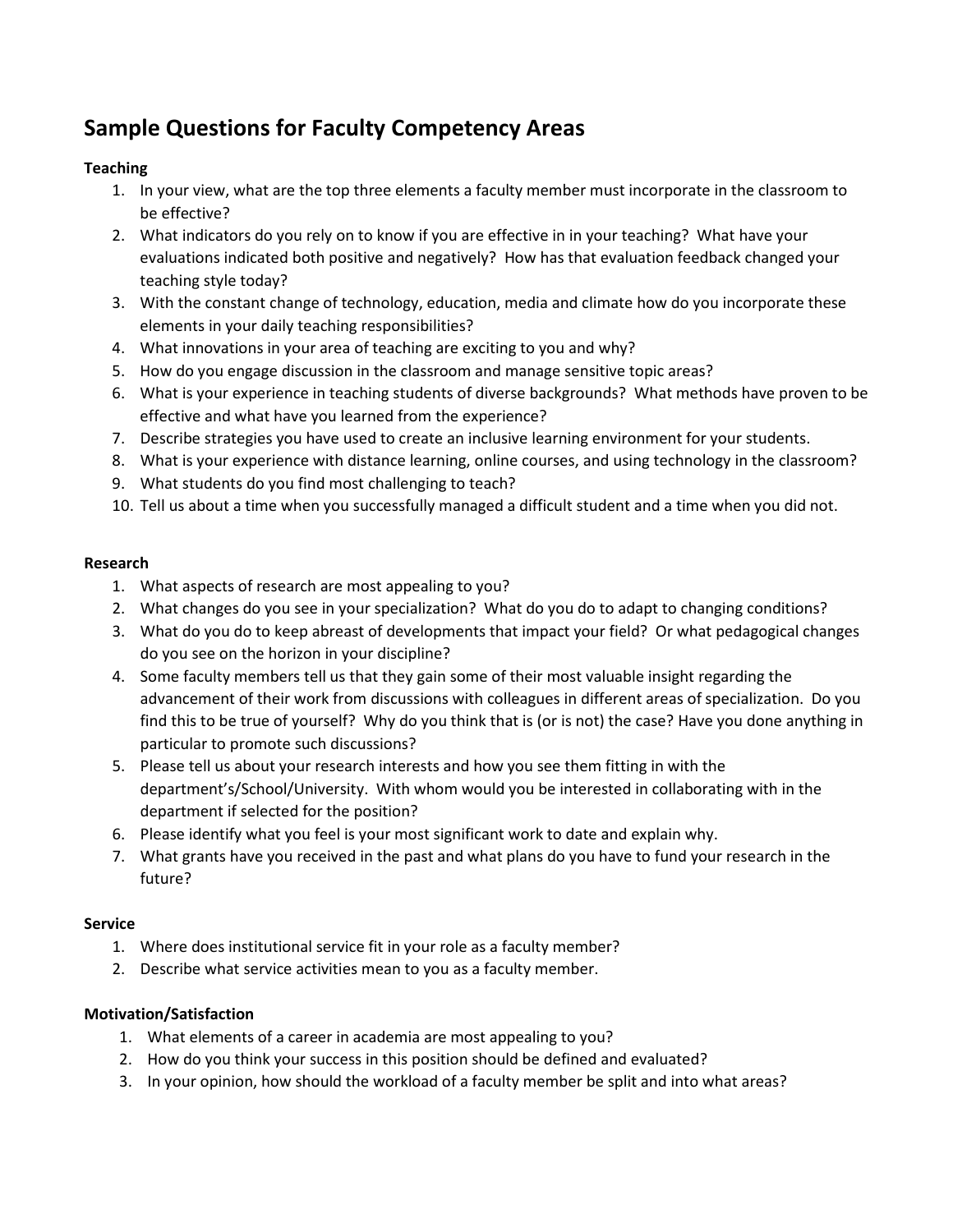# **Sample Questions for Faculty Competency Areas**

# **Teaching**

- 1. In your view, what are the top three elements a faculty member must incorporate in the classroom to be effective?
- 2. What indicators do you rely on to know if you are effective in in your teaching? What have your evaluations indicated both positive and negatively? How has that evaluation feedback changed your teaching style today?
- 3. With the constant change of technology, education, media and climate how do you incorporate these elements in your daily teaching responsibilities?
- 4. What innovations in your area of teaching are exciting to you and why?
- 5. How do you engage discussion in the classroom and manage sensitive topic areas?
- 6. What is your experience in teaching students of diverse backgrounds? What methods have proven to be effective and what have you learned from the experience?
- 7. Describe strategies you have used to create an inclusive learning environment for your students.
- 8. What is your experience with distance learning, online courses, and using technology in the classroom?
- 9. What students do you find most challenging to teach?
- 10. Tell us about a time when you successfully managed a difficult student and a time when you did not.

## **Research**

- 1. What aspects of research are most appealing to you?
- 2. What changes do you see in your specialization? What do you do to adapt to changing conditions?
- 3. What do you do to keep abreast of developments that impact your field? Or what pedagogical changes do you see on the horizon in your discipline?
- 4. Some faculty members tell us that they gain some of their most valuable insight regarding the advancement of their work from discussions with colleagues in different areas of specialization. Do you find this to be true of yourself? Why do you think that is (or is not) the case? Have you done anything in particular to promote such discussions?
- 5. Please tell us about your research interests and how you see them fitting in with the department's/School/University. With whom would you be interested in collaborating with in the department if selected for the position?
- 6. Please identify what you feel is your most significant work to date and explain why.
- 7. What grants have you received in the past and what plans do you have to fund your research in the future?

## **Service**

- 1. Where does institutional service fit in your role as a faculty member?
- 2. Describe what service activities mean to you as a faculty member.

## **Motivation/Satisfaction**

- 1. What elements of a career in academia are most appealing to you?
- 2. How do you think your success in this position should be defined and evaluated?
- 3. In your opinion, how should the workload of a faculty member be split and into what areas?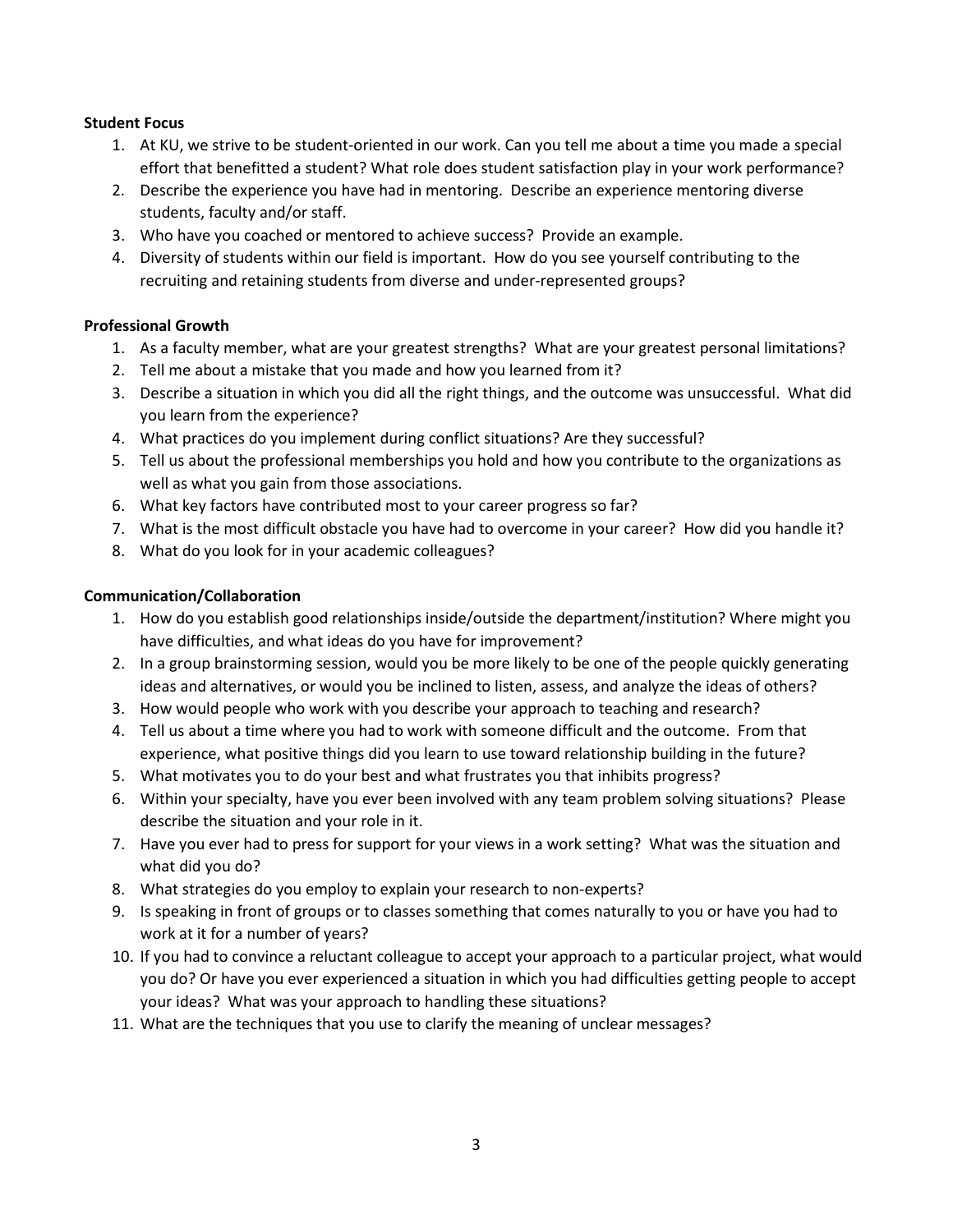#### **Student Focus**

- 1. At KU, we strive to be student-oriented in our work. Can you tell me about a time you made a special effort that benefitted a student? What role does student satisfaction play in your work performance?
- 2. Describe the experience you have had in mentoring. Describe an experience mentoring diverse students, faculty and/or staff.
- 3. Who have you coached or mentored to achieve success? Provide an example.
- 4. Diversity of students within our field is important. How do you see yourself contributing to the recruiting and retaining students from diverse and under-represented groups?

## **Professional Growth**

- 1. As a faculty member, what are your greatest strengths? What are your greatest personal limitations?
- 2. Tell me about a mistake that you made and how you learned from it?
- 3. Describe a situation in which you did all the right things, and the outcome was unsuccessful. What did you learn from the experience?
- 4. What practices do you implement during conflict situations? Are they successful?
- 5. Tell us about the professional memberships you hold and how you contribute to the organizations as well as what you gain from those associations.
- 6. What key factors have contributed most to your career progress so far?
- 7. What is the most difficult obstacle you have had to overcome in your career? How did you handle it?
- 8. What do you look for in your academic colleagues?

#### **Communication/Collaboration**

- 1. How do you establish good relationships inside/outside the department/institution? Where might you have difficulties, and what ideas do you have for improvement?
- 2. In a group brainstorming session, would you be more likely to be one of the people quickly generating ideas and alternatives, or would you be inclined to listen, assess, and analyze the ideas of others?
- 3. How would people who work with you describe your approach to teaching and research?
- 4. Tell us about a time where you had to work with someone difficult and the outcome. From that experience, what positive things did you learn to use toward relationship building in the future?
- 5. What motivates you to do your best and what frustrates you that inhibits progress?
- 6. Within your specialty, have you ever been involved with any team problem solving situations? Please describe the situation and your role in it.
- 7. Have you ever had to press for support for your views in a work setting? What was the situation and what did you do?
- 8. What strategies do you employ to explain your research to non-experts?
- 9. Is speaking in front of groups or to classes something that comes naturally to you or have you had to work at it for a number of years?
- 10. If you had to convince a reluctant colleague to accept your approach to a particular project, what would you do? Or have you ever experienced a situation in which you had difficulties getting people to accept your ideas? What was your approach to handling these situations?
- 11. What are the techniques that you use to clarify the meaning of unclear messages?